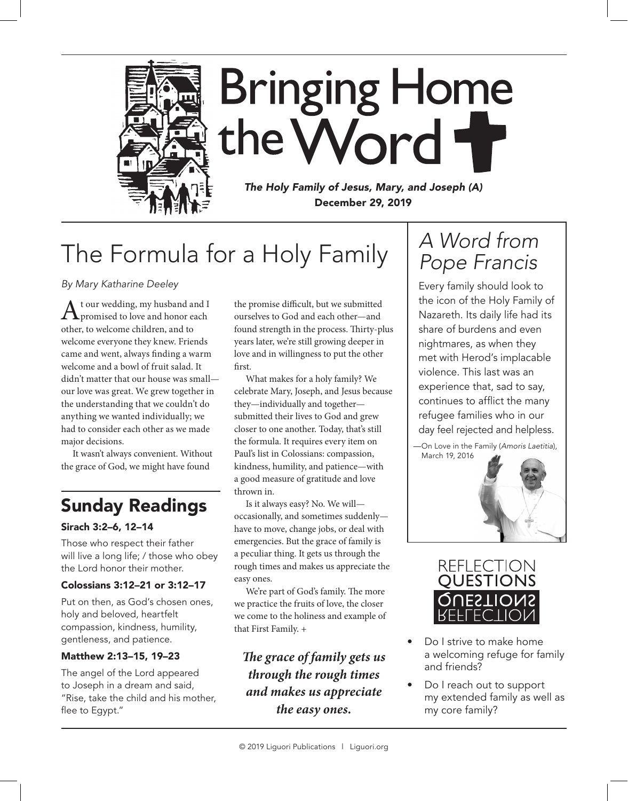

**Bringing Home** the Word

*The Holy Family of Jesus, Mary, and Joseph (A)* December 29, 2019

# The Formula for a Holy Family

# *By Mary Katharine Deeley*

A t our wedding, my husband and I<br>promised to love and honor each other, to welcome children, and to welcome everyone they knew. Friends came and went, always finding a warm welcome and a bowl of fruit salad. It didn't matter that our house was small our love was great. We grew together in the understanding that we couldn't do anything we wanted individually; we had to consider each other as we made major decisions.

It wasn't always convenient. Without the grace of God, we might have found

# Sunday Readings

# Sirach 3:2–6, 12–14

Those who respect their father will live a long life; / those who obey the Lord honor their mother.

# Colossians 3:12–21 or 3:12–17

Put on then, as God's chosen ones, holy and beloved, heartfelt compassion, kindness, humility, gentleness, and patience.

# Matthew 2:13–15, 19–23

The angel of the Lord appeared to Joseph in a dream and said, "Rise, take the child and his mother, flee to Egypt."

the promise difficult, but we submitted ourselves to God and each other—and found strength in the process. Thirty-plus years later, we're still growing deeper in love and in willingness to put the other first.

What makes for a holy family? We celebrate Mary, Joseph, and Jesus because they—individually and together submitted their lives to God and grew closer to one another. Today, that's still the formula. It requires every item on Paul's list in Colossians: compassion, kindness, humility, and patience—with a good measure of gratitude and love thrown in.

Is it always easy? No. We will occasionally, and sometimes suddenly have to move, change jobs, or deal with emergencies. But the grace of family is a peculiar thing. It gets us through the rough times and makes us appreciate the easy ones.

We're part of God's family. The more we practice the fruits of love, the closer we come to the holiness and example of that First Family. +

*The grace of family gets us through the rough times and makes us appreciate the easy ones.*

# *A Word from Pope Francis*

Every family should look to the icon of the Holy Family of Nazareth. Its daily life had its share of burdens and even nightmares, as when they met with Herod's implacable violence. This last was an experience that, sad to say, continues to afflict the many refugee families who in our day feel rejected and helpless.

 —On Love in the Family (*Amoris Laetitia*), March 19, 2016





- Do I strive to make home a welcoming refuge for family and friends?
- Do I reach out to support my extended family as well as my core family?